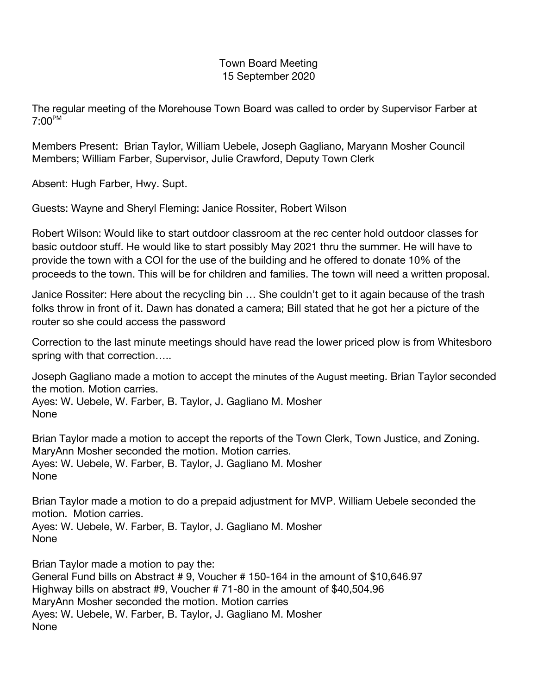## Town Board Meeting 15 September 2020

The regular meeting of the Morehouse Town Board was called to order by Supervisor Farber at  $7:00^{PM}$ 

Members Present: Brian Taylor, William Uebele, Joseph Gagliano, Maryann Mosher Council Members; William Farber, Supervisor, Julie Crawford, Deputy Town Clerk

Absent: Hugh Farber, Hwy. Supt.

Guests: Wayne and Sheryl Fleming: Janice Rossiter, Robert Wilson

Robert Wilson: Would like to start outdoor classroom at the rec center hold outdoor classes for basic outdoor stuff. He would like to start possibly May 2021 thru the summer. He will have to provide the town with a COI for the use of the building and he offered to donate 10% of the proceeds to the town. This will be for children and families. The town will need a written proposal.

Janice Rossiter: Here about the recycling bin … She couldn't get to it again because of the trash folks throw in front of it. Dawn has donated a camera; Bill stated that he got her a picture of the router so she could access the password

Correction to the last minute meetings should have read the lower priced plow is from Whitesboro spring with that correction.....

Joseph Gagliano made a motion to accept the minutes of the August meeting. Brian Taylor seconded the motion. Motion carries.

Ayes: W. Uebele, W. Farber, B. Taylor, J. Gagliano M. Mosher None

Brian Taylor made a motion to accept the reports of the Town Clerk, Town Justice, and Zoning. MaryAnn Mosher seconded the motion. Motion carries. Ayes: W. Uebele, W. Farber, B. Taylor, J. Gagliano M. Mosher None

Brian Taylor made a motion to do a prepaid adjustment for MVP. William Uebele seconded the motion. Motion carries.

Ayes: W. Uebele, W. Farber, B. Taylor, J. Gagliano M. Mosher None

Brian Taylor made a motion to pay the:

General Fund bills on Abstract # 9, Voucher # 150-164 in the amount of \$10,646.97 Highway bills on abstract #9, Voucher # 71-80 in the amount of \$40,504.96 MaryAnn Mosher seconded the motion. Motion carries Ayes: W. Uebele, W. Farber, B. Taylor, J. Gagliano M. Mosher None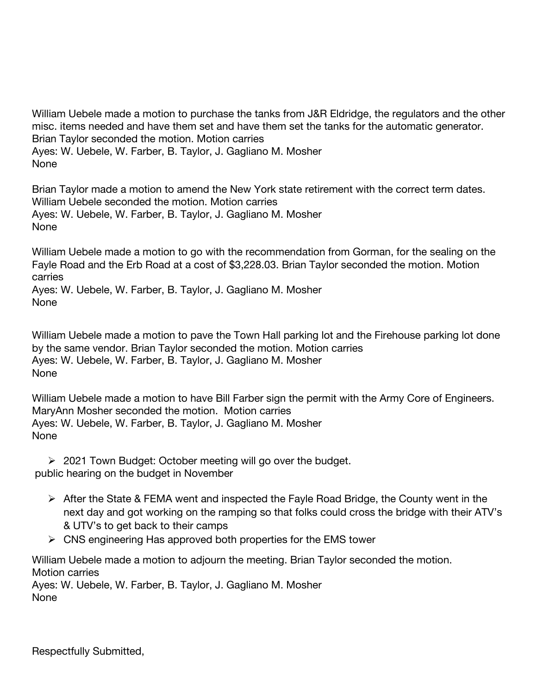William Uebele made a motion to purchase the tanks from J&R Eldridge, the regulators and the other misc. items needed and have them set and have them set the tanks for the automatic generator. Brian Taylor seconded the motion. Motion carries Ayes: W. Uebele, W. Farber, B. Taylor, J. Gagliano M. Mosher None

Brian Taylor made a motion to amend the New York state retirement with the correct term dates. William Uebele seconded the motion. Motion carries Ayes: W. Uebele, W. Farber, B. Taylor, J. Gagliano M. Mosher None

William Uebele made a motion to go with the recommendation from Gorman, for the sealing on the Fayle Road and the Erb Road at a cost of \$3,228.03. Brian Taylor seconded the motion. Motion carries

Ayes: W. Uebele, W. Farber, B. Taylor, J. Gagliano M. Mosher None

William Uebele made a motion to pave the Town Hall parking lot and the Firehouse parking lot done by the same vendor. Brian Taylor seconded the motion. Motion carries Ayes: W. Uebele, W. Farber, B. Taylor, J. Gagliano M. Mosher None

William Uebele made a motion to have Bill Farber sign the permit with the Army Core of Engineers. MaryAnn Mosher seconded the motion. Motion carries Ayes: W. Uebele, W. Farber, B. Taylor, J. Gagliano M. Mosher None

 $\geq$  2021 Town Budget: October meeting will go over the budget. public hearing on the budget in November

- $\triangleright$  After the State & FEMA went and inspected the Fayle Road Bridge, the County went in the next day and got working on the ramping so that folks could cross the bridge with their ATV's & UTV's to get back to their camps
- $\triangleright$  CNS engineering Has approved both properties for the EMS tower

William Uebele made a motion to adjourn the meeting. Brian Taylor seconded the motion. Motion carries

Ayes: W. Uebele, W. Farber, B. Taylor, J. Gagliano M. Mosher None